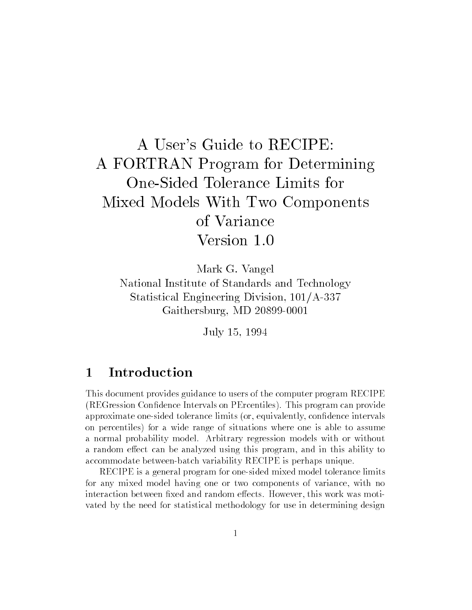# A User's Guide to RECIPE: A FORTRAN Program for Determining One-Sided Tolerance Limits for Mixed Models With Two Components of Variance Version 1.0

Mark G. Vangel

National Institute of Standards and Technology Statistical Engineering Division, 101/A-337 Gaithersburg, MD 20899-0001

July 15, 1994

### Introduction  $\mathbf{1}$

This document provides guidance to users of the computer program RECIPE (REGression Condence Intervals on PErcentiles). This program can provide approximate one-sided tolerance limits (or, equivalently, condence intervals on percentiles) for a wide range of situations where one is able to assume a normal probability model. Arbitrary regression models with or without a random effect can be analyzed using this program, and in this ability to accommodate between-batch variability RECIPE is perhaps unique.

RECIPE is a general program for one-sided mixed model tolerance limits for any mixed model having one or two components of variance, with no interaction between fixed and random effects. However, this work was motivated by the need for statistical methodology for use in determining design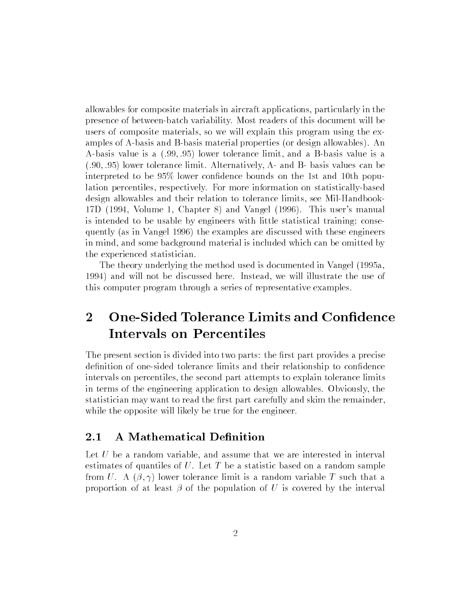allowables for composite materials in aircraft applications, particularly in the presence of between-batch variability. Most readers of this document will be users of composite materials, so we will explain this program using the examples of A-basis and B-basis material properties (or design allowables). An A-basis value is a (:99; :95) lower tolerance limit, and a B-basis value is a (:90; :95) lower tolerance limit. Alternatively, A- and B- basis values can be interpreted to be 95% lower condence bounds on the 1st and 10th population percentiles, respectively. For more information on statistically-based design allowables and their relation to tolerance limits, see Mil-Handbook-17D (1994, Volume 1, Chapter 8) and Vangel (1996). This user's manual is intended to be usable by engineers with little statistical training; consequently (as in Vangel 1996) the examples are discussed with these engineers in mind, and some background material is included which can be omitted by the experienced statistician.

The theory underlying the method used is documented in Vangel (1995a, 1994) and will not be discussed here. Instead, we will illustrate the use of this computer program through a series of representative examples.

## 2 One-Sided Tolerance Limits and Confidence Intervals on Percentiles

The present section is divided into two parts: the first part provides a precise definition of one-sided tolerance limits and their relationship to confidence intervals on percentiles, the second part attempts to explain tolerance limits in terms of the engineering application to design allowables. Obviously, the statistician may want to read the first part carefully and skim the remainder, while the opposite will likely be true for the engineer.

Let U be a random variable, and assume that we are interested in interval estimates of quantiles of  $U$ . Let  $T$  be a statistic based on a random sample from U. A  $(\beta, \gamma)$  lower tolerance limit is a random variable T such that a proportion of at least  $\beta$  of the population of U is covered by the interval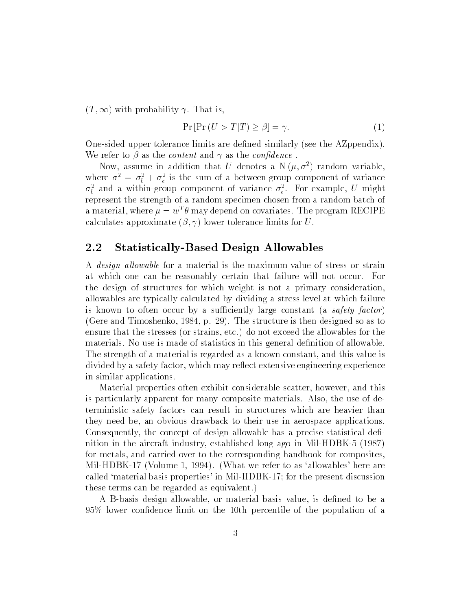$(T, \infty)$  with probability  $\gamma$ . That is,

$$
\Pr\left[\Pr\left(U>T|T\right)\geq\beta\right]=\gamma.\tag{1}
$$

One-sided upper tolerance limits are dened similarly (see the AZppendix). We refer to  $\beta$  as the *content* and  $\gamma$  as the *confidence*.

Now, assume in addition that U denotes a N $(\mu, \sigma^2)$  random variable. where  $\sigma^2 = \sigma_b^2 + \sigma_e^2$  is the sum of a between-group component of variance  $\sigma_{\bar{b}}$  and a within-group component of variance  $\sigma_{\bar{e}}$ . For example,  $\bar{U}$  might represent the strength of a random specimen chosen from a random batch of a material, where  $\mu = w^T \theta$  may depend on covariates. The program RECIPE calculates approximate  $(\beta, \gamma)$  lower tolerance limits for U.

### 2.2 Statistically-Based Design Allowables

A *design allowable* for a material is the maximum value of stress or strain at which one can be reasonably certain that failure will not occur. For the design of structures for which weight is not a primary consideration, allowables are typically calculated by dividing a stress level at which failure is known to often occur by a sufficiently large constant (a safety factor) (Gere and Timoshenko, 1984, p. 29). The structure is then designed so as to ensure that the stresses (or strains, etc.) do not exceed the allowables for the materials. No use is made of statistics in this general definition of allowable. The strength of a material is regarded as a known constant, and this value is divided by a safety factor, which may reflect extensive engineering experience in similar applications.

Material properties often exhibit considerable scatter, however, and this is particularly apparent for many composite materials. Also, the use of deterministic safety factors can result in structures which are heavier than they need be, an obvious drawback to their use in aerospace applications. Consequently, the concept of design allowable has a precise statistical definition in the aircraft industry, established long ago in Mil-HDBK-5 (1987) for metals, and carried over to the corresponding handbook for composites, Mil-HDBK-17 (Volume 1, 1994). (What we refer to as `allowables' here are called `material basis properties' in Mil-HDBK-17; for the present discussion these terms can be regarded as equivalent.)

A B-basis design allowable, or material basis value, is dened to be a 95% lower condence limit on the 10th percentile of the population of a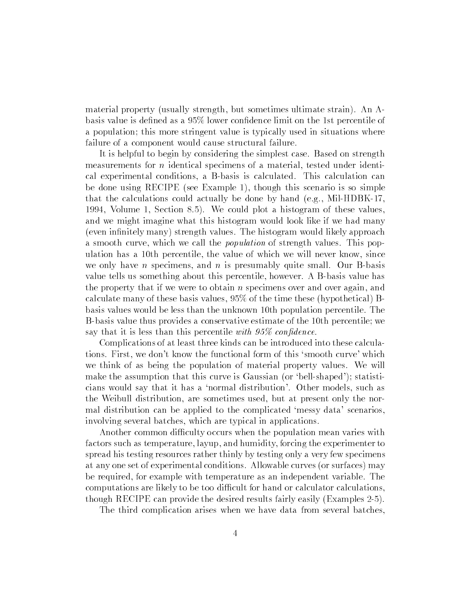material property (usually strength, but sometimes ultimate strain). An Abasis value is defined as a 95% lower confidence limit on the 1st percentile of a population; this more stringent value is typically used in situations where failure of a component would cause structural failure.

It is helpful to begin by considering the simplest case. Based on strength measurements for <sup>n</sup> identical specimens of a material, tested under identical experimental conditions, a B-basis is calculated. This calculation can be done using RECIPE (see Example 1), though this scenario is so simple that the calculations could actually be done by hand (e.g., Mil-HDBK-17, 1994, Volume 1, Section 8.5). We could plot a histogram of these values, and we might imagine what this histogram would look like if we had many (even infinitely many) strength values. The histogram would likely approach a smooth curve, which we call the population of strength values. This population has a 10th percentile, the value of which we will never know, since we only have n specimens, and  $n$  is presumably quite small. Our B-basis value tells us something about this percentile, however. A B-basis value has the property that if we were to obtain <sup>n</sup> specimens over and over again, and calculate many of these basis values, 95% of the time these (hypothetical) Bbasis values would be less than the unknown 10th population percentile. The B-basis value thus provides a conservative estimate of the 10th percentile; we say that it is less than this percentile with  $95\%$  confidence.

Complications of at least three kinds can be introduced into these calculations. First, we don't know the functional form of this `smooth curve' which we think of as being the population of material property values. We will make the assumption that this curve is Gaussian (or 'bell-shaped'); statisticians would say that it has a `normal distribution'. Other models, such as the Weibull distribution, are sometimes used, but at present only the normal distribution can be applied to the complicated `messy data' scenarios, involving several batches, which are typical in applications.

Another common difficulty occurs when the population mean varies with factors such as temperature, layup, and humidity, forcing the experimenter to spread his testing resources rather thinly by testing only a very few specimens at any one set of experimental conditions. Allowable curves (or surfaces) may be required, for example with temperature as an independent variable. The computations are likely to be too difficult for hand or calculator calculations. though RECIPE can provide the desired results fairly easily (Examples 2-5).

The third complication arises when we have data from several batches,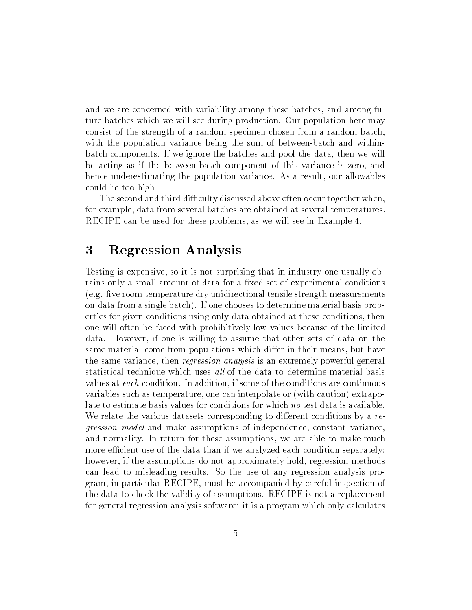and we are concerned with variability among these batches, and among future batches which we will see during production. Our population here may consist of the strength of a random specimen chosen from a random batch, with the population variance being the sum of between-batch and withinbatch components. If we ignore the batches and pool the data, then we will be acting as if the between-batch component of this variance is zero, and hence underestimating the population variance. As a result, our allowables could be too high.

The second and third difficulty discussed above often occur together when, for example, data from several batches are obtained at several temperatures. RECIPE can be used for these problems, as we will see in Example 4.

#### 3 3 Regression Analysis

Testing is expensive, so it is not surprising that in industry one usually obtains only a small amount of data for a fixed set of experimental conditions  $(e.g.$  five room temperature dry unidirectional tensile strength measurements on data from a single batch). If one chooses to determine material basis properties for given conditions using only data obtained at these conditions, then one will often be faced with prohibitively low values because of the limited data. However, if one is willing to assume that other sets of data on the same material come from populations which differ in their means, but have the same variance, then regression analysis is an extremely powerful general statistical technique which uses all of the data to determine material basis values at each condition. In addition, if some of the conditions are continuous variables such as temperature, one can interpolate or (with caution) extrapolate to estimate basis values for conditions for which no test data is available. We relate the various datasets corresponding to different conditions by a  $re$ gression model and make assumptions of independence, constant variance, and normality. In return for these assumptions, we are able to make much more efficient use of the data than if we analyzed each condition separately; however, if the assumptions do not approximately hold, regression methods can lead to misleading results. So the use of any regression analysis program, in particular RECIPE, must be accompanied by careful inspection of the data to check the validity of assumptions. RECIPE is not a replacement for general regression analysis software: it is a program which only calculates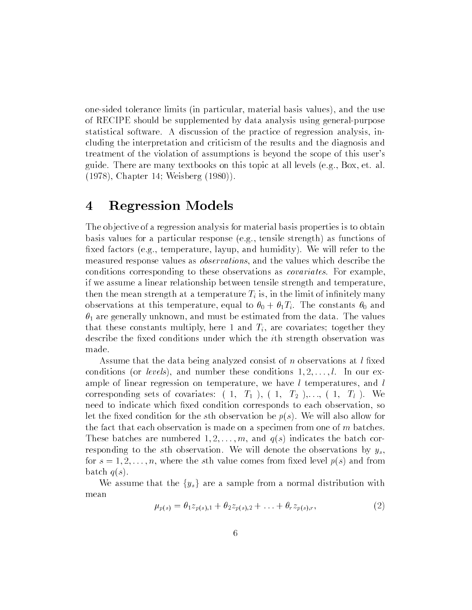one-sided tolerance limits (in particular, material basis values), and the use of RECIPE should be supplemented by data analysis using general-purpose statistical software. A discussion of the practice of regression analysis, including the interpretation and criticism of the results and the diagnosis and treatment of the violation of assumptions is beyond the scope of this user's guide. There are many textbooks on this topic at all levels (e.g., Box, et. al. (1978), Chapter 14; Weisberg (1980)).

## 4 Regression Models

The ob jective of a regression analysis for material basis properties is to obtain basis values for a particular response (e.g., tensile strength) as functions of fixed factors (e.g., temperature, layup, and humidity). We will refer to the measured response values as observations, and the values which describe the conditions corresponding to these observations as covariates. For example, if we assume a linear relationship between tensile strength and temperature, then the mean strength at a temperature  $T_i$  is, in the limit of infinitely many observations at this temperature, equal to  $\theta_0 + \theta_1 T_i$ . The constants  $\theta_0$  and  $\theta_1$  are generally unknown, and must be estimated from the data. The values that these constants multiply, here 1 and  $T_i$ , are covariates; together they describe the fixed conditions under which the *i*th strength observation was made.

Assume that the data being analyzed consist of n observations at  $l$  fixed conditions (or levels), and number these conditions  $1, 2, \ldots, l$ . In our example of linear regression on temperature, we have  $l$  temperatures, and  $l$ corresponding sets of covariates:  $(1, T_1), (1, T_2), \ldots, (1, T_l)$ . We need to indicate which fixed condition corresponds to each observation, so let the fixed condition for the sth observation be  $p(s)$ . We will also allow for the fact that each observation is made on a specimen from one of  $m$  batches. These batches are numbered  $1, 2, \ldots, m$ , and  $q(s)$  indicates the batch corresponding to the sth observation. We will denote the observations by  $y_s$ , for  $s = 1, 2, \ldots, n$ , where the sth value comes from fixed level  $p(s)$  and from batch  $q(s)$ .

We assume that the  $\{y_s\}$  are a sample from a normal distribution with mean

$$
\mu_{p(s)} = \theta_1 z_{p(s),1} + \theta_2 z_{p(s),2} + \ldots + \theta_r z_{p(s),r},\tag{2}
$$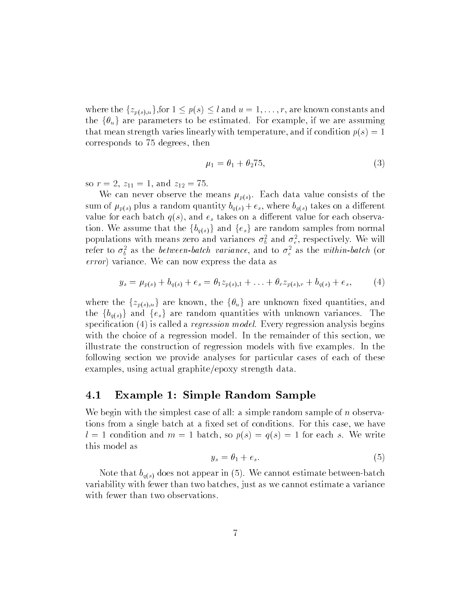where the  $\{z_{p(s),u}\}\$ , for  $1 \leq p(s) \leq l$  and  $u = 1, \ldots, r$ , are known constants and the  $\{\theta_u\}$  are parameters to be estimated. For example, if we are assuming that mean strength varies linearly with temperature, and if condition  $p(s) = 1$ corresponds to 75 degrees, then

$$
\mu_1 = \theta_1 + \theta_2 \cdot 75,\tag{3}
$$

so  $r = 2$ ,  $z_{11} = 1$ , and  $z_{12} = 75$ .

We can never observe the means  $\mu_{p(s)}$ . Each data value consists of the sum of  $\mu_{p(s)}$  plus a random quantity  $b_{q(s)} + e_s$ , where  $b_{q(s)}$  takes on a different value for each batch  $q(s)$ , and  $e_s$  takes on a different value for each observation. We assume that the  ${b_{q(s)}}$  and  ${e_s}$  are random samples from normal populations with means zero and variances  $\sigma_{\bar{b}}$  and  $\sigma_{\bar{e}}$ , respectively. We will refer to  $o_b$  as the between-batch variance, and to  $o_e$  as the within-batch (or error) variance. We can now express the data as

$$
y_s = \mu_{p(s)} + b_{q(s)} + e_s = \theta_1 z_{p(s),1} + \ldots + \theta_r z_{p(s),r} + b_{q(s)} + e_s, \qquad (4)
$$

where the  $\{z_{p(s),u}\}\$  are known, the  $\{\theta_u\}$  are unknown fixed quantities, and the  $\{b_{g(s)}\}$  and  $\{e_s\}$  are random quantities with unknown variances. The specification  $(4)$  is called a *regression model*. Every regression analysis begins with the choice of a regression model. In the remainder of this section, we illustrate the construction of regression models with five examples. In the following section we provide analyses for particular cases of each of these examples, using actual graphite/epoxy strength data.

### 4.1 Example 1: Simple Random Sample

We begin with the simplest case of all: a simple random sample of n observations from a single batch at a fixed set of conditions. For this case, we have  $l = 1$  condition and  $m = 1$  batch, so  $p(s) = q(s) = 1$  for each s. We write this model as

$$
y_s = \theta_1 + e_s. \tag{5}
$$

Note that  $b_{q(s)}$  does not appear in (5). We cannot estimate between-batch variability with fewer than two batches, just as we cannot estimate a variance with fewer than two observations.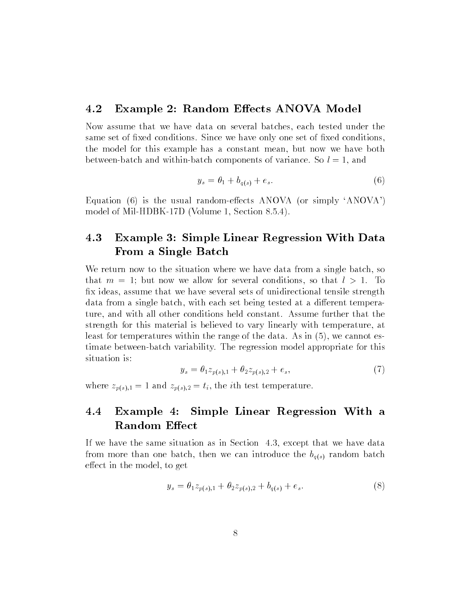### 4.2 Example 2: Random Effects ANOVA Model

Now assume that we have data on several batches, each tested under the same set of fixed conditions. Since we have only one set of fixed conditions, the model for this example has a constant mean, but now we have both between-batch and within-batch components of variance. So  $l = 1$ , and

$$
y_s = \theta_1 + b_{q(s)} + e_s. \tag{6}
$$

Equation  $(6)$  is the usual random-effects ANOVA (or simply 'ANOVA') model of Mil-HDBK-17D (Volume 1, Section 8.5.4).

### 4.3 Example 3: Simple Linear Regression With Data From a Single Batch

We return now to the situation where we have data from a single batch, so that  $m = 1$ ; but now we allow for several conditions, so that  $l > 1$ . To x ideas, assume that we have several sets of unidirectional tensile strength data from a single batch, with each set being tested at a different temperature, and with all other conditions held constant. Assume further that the strength for this material is believed to vary linearly with temperature, at least for temperatures within the range of the data. As in (5), we cannot estimate between-batch variability. The regression model appropriate for this situation is:

$$
y_s = \theta_1 z_{p(s),1} + \theta_2 z_{p(s),2} + e_s,\tag{7}
$$

where  $z_{p(s),1} = 1$  and  $z_{p(s),2} = t_i$ , the *i*th test temperature.

### 4.4 Example 4: Simple Linear Regression With a Random Effect

If we have the same situation as in Section 4.3, except that we have data from more than one batch, then we can introduce the  $b_{q(s)}$  random batch effect in the model, to get

$$
y_s = \theta_1 z_{p(s),1} + \theta_2 z_{p(s),2} + b_{q(s)} + e_s. \tag{8}
$$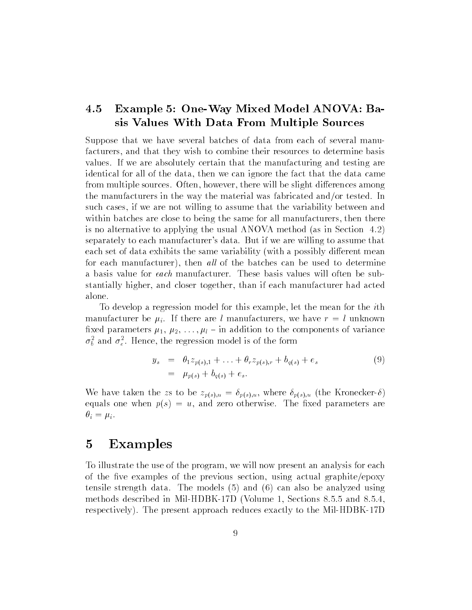### 4.5 Example 5: One-Way Mixed Model ANOVA: Basis Values With Data From Multiple Sources

Suppose that we have several batches of data from each of several manufacturers, and that they wish to combine their resources to determine basis values. If we are absolutely certain that the manufacturing and testing are identical for all of the data, then we can ignore the fact that the data came from multiple sources. Often, however, there will be slight differences among the manufacturers in the way the material was fabricated and/or tested. In such cases, if we are not willing to assume that the variability between and within batches are close to being the same for all manufacturers, then there is no alternative to applying the usual ANOVA method (as in Section 4.2) separately to each manufacturer's data. But if we are willing to assume that each set of data exhibits the same variability (with a possibly different mean for each manufacturer), then all of the batches can be used to determine a basis value for each manufacturer. These basis values will often be substantially higher, and closer together, than if each manufacturer had acted alone.

To develop a regression model for this example, let the mean for the ith manufacturer be  $\mu_i$ . If there are l manufacturers, we have  $r = l$  unknown fixed parameters  $\mu_1, \mu_2, \ldots, \mu_l$  – in addition to the components of variance  $\sigma_b$  and  $\sigma_e$ . Hence, the regression model is of the form

$$
y_s = \theta_1 z_{p(s),1} + \ldots + \theta_r z_{p(s),r} + b_{q(s)} + e_s
$$
  
=  $\mu_{p(s)} + b_{q(s)} + e_s.$  (9)

We have taken the zs to be  $z_{p(s),u} = \delta_{p(s),u}$ , where  $\delta_{p(s),u}$  (the Kronecker- $\delta$ ) equals one when  $p(s) = u$ , and zero otherwise. The fixed parameters are  $\theta_i = \mu_i$ .

### 5 Examples

To illustrate the use of the program, we will now present an analysis for each of the five examples of the previous section, using actual graphite/epoxy tensile strength data. The models (5) and (6) can also be analyzed using methods described in Mil-HDBK-17D (Volume 1, Sections 8.5.5 and 8.5.4, respectively). The present approach reduces exactly to the Mil-HDBK-17D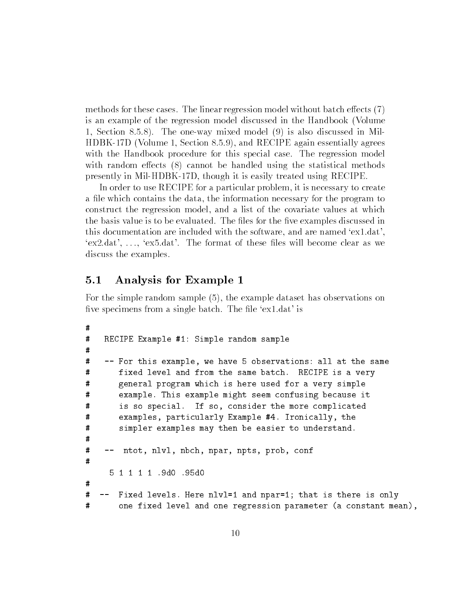methods for these cases. The linear regression model without batch effects  $(7)$ is an example of the regression model discussed in the Handbook (Volume 1, Section 8.5.8). The one-way mixed model (9) is also discussed in Mil-HDBK-17D (Volume 1, Section 8.5.9), and RECIPE again essentially agrees with the Handbook procedure for this special case. The regression model with random effects  $(8)$  cannot be handled using the statistical methods presently in Mil-HDBK-17D, though it is easily treated using RECIPE.

In order to use RECIPE for a particular problem, it is necessary to create a file which contains the data, the information necessary for the program to construct the regression model, and a list of the covariate values at which the basis value is to be evaluated. The files for the five examples discussed in this documentation are included with the software, and are named `ex1.dat',  $\gamma$ ex2.dat', ...,  $\gamma$ ex5.dat'. The format of these files will become clear as we discuss the examples.

#### $5.1$ 5.1 Analysis for Example 1

For the simple random sample (5), the example dataset has observations on five specimens from a single batch. The file 'ex1.dat' is

```
\sharp# RECIPE Example #1: Simple random sample
#\#-- For this example, we have 5 observations: all at the same
# fixed level and from the same batch. RECIPE is a very
# general program which is here used for a very simple
#example. This example might seem confusing because it
# is so special. If so, consider the more complicated
#
       examples, particularly Example #4. Ironically, the
# simpler examples may then be easier to understand.
\sharp\sharp-- ntot, nlvl, nbch, npar, npts, prob, conf
     5 1 1 1 1 .9d0 .95d0
\sharp# -- Fixed levels. Here nlvl=1 and npar=1; that is there is only
       one fixed level and one regression parameter (a constant mean),
#
```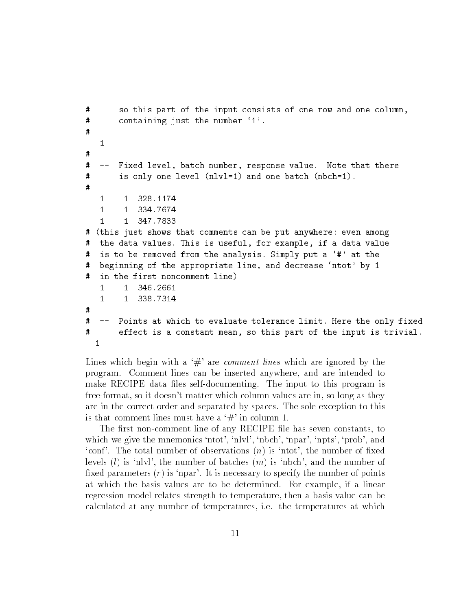```
# so this part of the input consists of one row and one column,
# containing just the number `1'.
\#\mathbf{1}#
# -- Fixed level, batch number, response value. Note that there
#is only one level (nlvl=1) and one batch (nbch=1).
\sharp1 1 328.1174
   \mathbf{1}\mathbf{1}334.7674
           347.7833
   \mathbf{1}\mathbf{1}# (this just shows that comments can be put anywhere: even among
# the data values. This is useful, for example, if a data value
# is to be removed from the analysis. Simply put a `#' at the
# beginning of the appropriate line, and decrease 'ntot' by 1
# in the first noncomment line)
   1 1 346.2661
\sharp# -- Points at which to evaluate tolerance limit. Here the only fixed
# effect is a constant mean, so this part of the input is trivial.
  1
```
Lines which begin with a  $\#$  are *comment lines* which are ignored by the program. Comment lines can be inserted anywhere, and are intended to make RECIPE data files self-documenting. The input to this program is free-format, so it doesn't matter which column values are in, so long as they are in the correct order and separated by spaces. The sole exception to this is that comment lines must have a  $\#$  in column 1.

The first non-comment line of any RECIPE file has seven constants, to which we give the mnemonics 'ntot', 'nlvl', 'nbch', 'npar', 'npts', 'prob', and 'conf'. The total number of observations  $(n)$  is 'ntot', the number of fixed levels  $(l)$  is 'nlvl', the number of batches  $(m)$  is 'nbch', and the number of fixed parameters  $(r)$  is 'npar'. It is necessary to specify the number of points at which the basis values are to be determined. For example, if a linear regression model relates strength to temperature, then a basis value can be calculated at any number of temperatures, i.e. the temperatures at which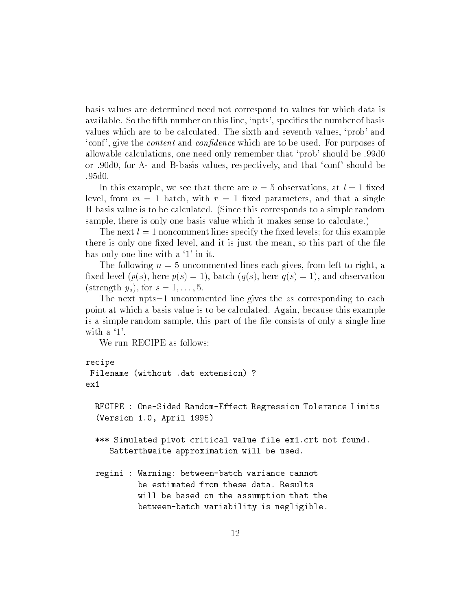basis values are determined need not correspond to values for which data is available. So the fifth number on this line, 'npts', specifies the number of basis values which are to be calculated. The sixth and seventh values, `prob' and 'conf', give the *content* and *confidence* which are to be used. For purposes of allowable calculations, one need only remember that `prob' should be .99d0 or .90d0, for A- and B-basis values, respectively, and that `conf ' should be .95<sub>d0</sub>.

In this example, we see that there are  $n=5$  observations, at  $l=1$  fixed level, from  $m = 1$  batch, with  $r = 1$  fixed parameters, and that a single B-basis value is to be calculated. (Since this corresponds to a simple random sample, there is only one basis value which it makes sense to calculate.)

The next  $l = 1$  noncomment lines specify the fixed levels; for this example there is only one fixed level, and it is just the mean, so this part of the file has only one line with a '1' in it.

The following  $n = 5$  uncommented lines each gives, from left to right, a fixed level  $(p(s), \text{here } p(s) = 1)$ , batch  $(q(s), \text{here } q(s) = 1)$ , and observation (strength  $y_s$ ), for  $s = 1, \ldots, 5$ .

The next  $npts=1$  uncommented line gives the zs corresponding to each point at which a basis value is to be calculated. Again, because this example is a simple random sample, this part of the file consists of only a single line with a  $\dot{1}$ .

We run RECIPE as follows:

```
recipe
Filename (without .dat extension) ?
ex1RECIPE : One-Sided Random-Effect Regression Tolerance Limits
  (Version 1.0, April 1995)
  *** Simulated pivot critical value file ex1.crt not found.
     Satterthwaite approximation will be used.
  regini : Warning: between-batch variance cannot
           be estimated from these data. Results
           will be based on the assumption that the
           between-batch variability is negligible.
```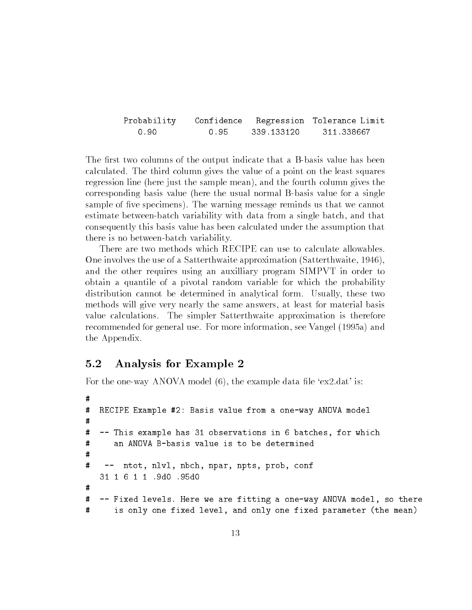| Probability |      |            | Confidence Regression Tolerance Limit |
|-------------|------|------------|---------------------------------------|
| 0.90        | 0.95 | 339.133120 | 311 338667                            |

The first two columns of the output indicate that a B-basis value has been calculated. The third column gives the value of a point on the least squares regression line (here just the sample mean), and the fourth column gives the corresponding basis value (here the usual normal B-basis value for a single sample of five specimens). The warning message reminds us that we cannot estimate between-batch variability with data from a single batch, and that consequently this basis value has been calculated under the assumption that there is no between-batch variability.

There are two methods which RECIPE can use to calculate allowables. One involves the use of a Satterthwaite approximation (Satterthwaite, 1946), and the other requires using an auxilliary program SIMPVT in order to obtain a quantile of a pivotal random variable for which the probability distribution cannot be determined in analytical form. Usually, these two methods will give very nearly the same answers, at least for material basis value calculations. The simpler Satterthwaite approximation is therefore recommended for general use. For more information, see Vangel (1995a) and the Appendix.

#### $5.2$ 5.2 Analysis for Example 2

For the one-way ANOVA model  $(6)$ , the example data file 'ex2.dat' is:

```
\sharp# RECIPE Example #2: Basis value from a one-way ANOVA model
\sharp\#-- This example has 31 observations in 6 batches, for which
      an ANOVA B-basis value is to be determined
#
# -- ntot, nlvl, nbch, npar, npts, prob, conf
   31 1 6 1 1 .9d0 .95d0
#
# -- Fixed levels. Here we are fitting a one-way ANOVA model, so there
#
      is only one fixed level, and only one fixed parameter (the mean)
```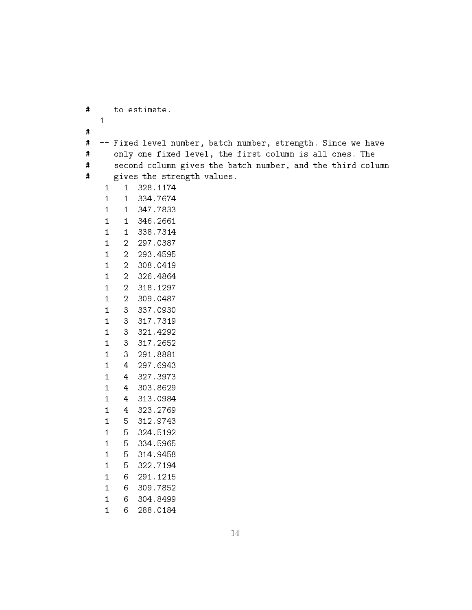# to estimate. # # -- Fixed level number, batch number, strength. Since we have # only one fixed level, the first column is all ones. The # second column gives the batch number, and the third column  $\sharp$ gives the strength values. 1 328.1174 1 334.7674 1 347.7833  $\mathbf{1}$  1 346.2661  $\mathbf{1}$ 338.7314 2 297.0387 2 293.4595 2 308.0419  $\overline{2}$  2 326.4864 2 318.1297 2 309.0487 3 337.0930 3 317.7319 3 321.4292 3 317.2652 3 291.8881  $\mathbf{3}$  4 297.6943 4 327.3973 4 303.8629  $\overline{4}$  4 313.0984 4 323.2769 5 312.9743 5 324.5192  $\mathbf{1}$ 334.5965 5 314.9458 5 322.7194 6 291.1215  $6<sup>1</sup>$  6 309.7852 6 304.8499

 $\mathbf{1}$ 288.0184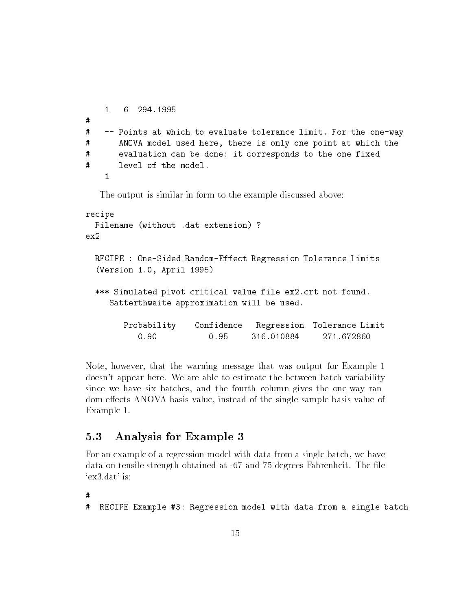```
\mathbf{1}6 294.1995
# -- Points at which to evaluate tolerance limit. For the one-way
\#ANOVA model used here, there is only one point at which the
# evaluation can be done: it corresponds to the one fixed
\sharp\mathbf{1}
```
The output is similar in form to the example discussed above:

```
recipe
 Filename (without .dat extension) ?
 RECIPE : One-Sided Random-Effect Regression Tolerance Limits
  (Version 1.0, April 1995)
  *** Simulated pivot critical value file ex2.crt not found.
     Satterthwaite approximation will be used.
        Probability Confidence Regression Tolerance Limit
                       Confidence
           0.900.95316.010884
                                                  271.672860
```
Note, however, that the warning message that was output for Example 1 doesn't appear here. We are able to estimate the between-batch variability since we have six batches, and the fourth column gives the one-way random effects ANOVA basis value, instead of the single sample basis value of Example 1.

#### $5.3$ 5.3 Analysis for Example 3

For an example of a regression model with data from a single batch, we have data on tensile strength obtained at -67 and 75 degrees Fahrenheit. The file `ex3.dat' is:

 $\sharp$ 

```
RECIPE Example #3: Regression model with data from a single batch
#
```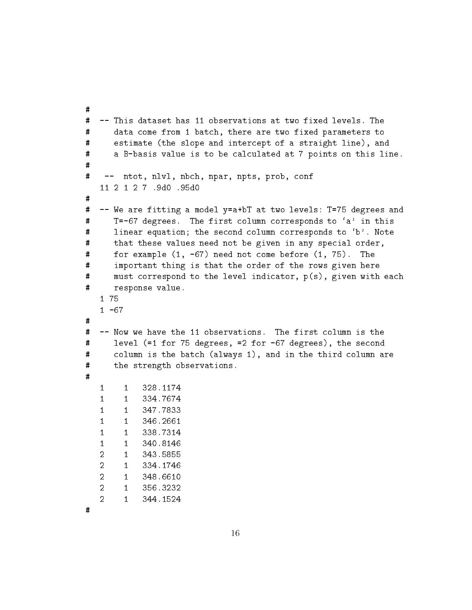```
\#-- This dataset has 11 observations at two fixed levels. The
# data come from 1 batch, there are two fixed parameters to
      estimate (the slope and intercept of a straight line), and
## a B-basis value is to be calculated at 7 points on this line.
\sharp\sharp-- ntot, nlvl, nbch, npar, npts, prob, conf
   11 2 1 2 7 .9d0 .95d0
\#-- We are fitting a model y=a+bT at two levels: T=75 degrees and
## T=-67 degrees. The first column corresponds to `a' in this
# linear equation; the second column corresponds to `b'. Note
# that these values need not be given in any special order,
      for example (1, -67) need not come before (1, 75). The
\pmb{\sharp}\pmb{\pi}important thing is that the order of the rows given here
# must correspond to the level indicator, p(s), given with each
# response value.
   1 - 67#-- Now we have the 11 observations. The first column is the
\#\sharplevel (=1 for 75 degrees, =2 for -67 degrees), the second
\#column is the batch (always 1), and in the third column are
# the strength observations.
\overline{\mathbf{H}}\mathbf{1}\mathbf{1}1 1 328.1174
   \mathbf{1}334.7674
        111 347.7833
   11<sup>1</sup>346.2661
   \mathbf{1}1338.7314
   11<sup>1</sup>340.8146
   2 1 334.1746
   \overline{2}1348.6610
   2 1 356.3232
   2 1 344.1524
        1<sup>1</sup>
```
#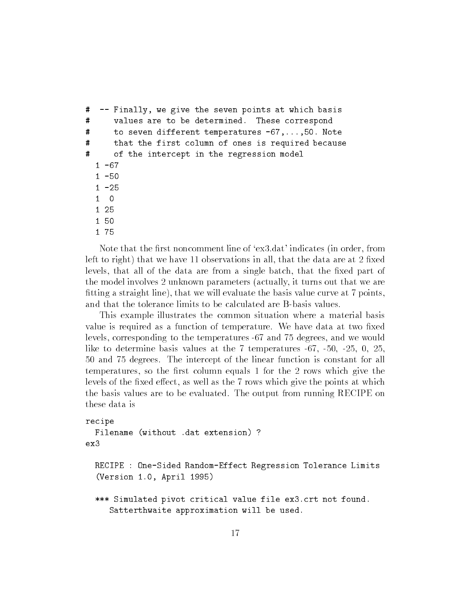```
# -- Finally, we give the seven points at which basis
# values are to be determined. These correspond
\sharpto seven different temperatures -67, \ldots, 50. Note
      that the first column of ones is required because
\pmb{\ddot{u}}#of the intercept in the regression model
  1 - 671 - 501 - 251 25
  1 50
  1 75
```
Note that the first noncomment line of 'ex3.dat' indicates (in order, from left to right) that we have 11 observations in all, that the data are at 2 fixed levels, that all of the data are from a single batch, that the fixed part of the model involves 2 unknown parameters (actually, it turns out that we are tting a straight line), that we will evaluate the basis value curve at 7 points, and that the tolerance limits to be calculated are B-basis values.

This example illustrates the common situation where a material basis value is required as a function of temperature. We have data at two fixed levels, corresponding to the temperatures -67 and 75 degrees, and we would like to determine basis values at the 7 temperatures -67, -50, -25, 0, 25, 50 and 75 degrees. The intercept of the linear function is constant for all temperatures, so the first column equals 1 for the 2 rows which give the levels of the fixed effect, as well as the 7 rows which give the points at which the basis values are to be evaluated. The output from running RECIPE on

```
recipe
 Filename (without .dat extension) ?
ex3RECIPE : One-Sided Random-Effect Regression Tolerance Limits
  (Version 1.0, April 1995)
  *** Simulated pivot critical value file ex3.crt not found.
     Satterthwaite approximation will be used.
```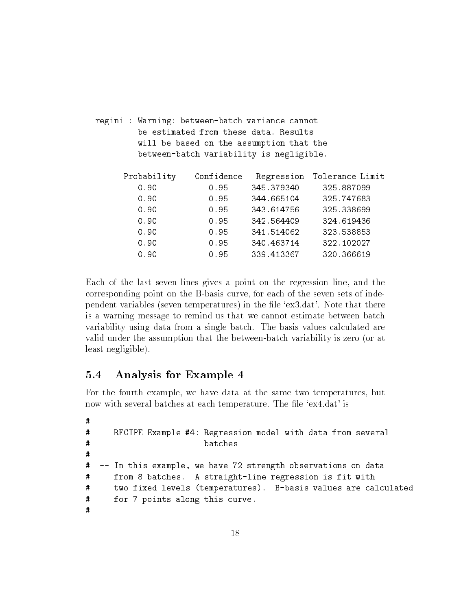| regini : Warning: between-batch variance cannot |            | be estimated from these data. Results    |                            |  |
|-------------------------------------------------|------------|------------------------------------------|----------------------------|--|
|                                                 |            | will be based on the assumption that the |                            |  |
|                                                 |            | between-batch variability is negligible. |                            |  |
|                                                 |            |                                          |                            |  |
| Probability                                     | Confidence |                                          | Regression Tolerance Limit |  |
| 0.90                                            | 0.95       | 345.379340                               | 325.887099                 |  |
| 0.90                                            | 0.95       | 344.665104                               | 325.747683                 |  |
| 0.90                                            | 0.95       | 343.614756                               | 325.338699                 |  |
| 0.90                                            | 0.95       | 342.564409                               | 324.619436                 |  |
| 0.90                                            | 0.95       | 341.514062                               | 323.538853                 |  |
| 0.90                                            | 0.95       | 340.463714                               | 322.102027                 |  |
| 0.90                                            | 0.95       | 339.413367                               | 320.366619                 |  |
|                                                 |            |                                          |                            |  |

Each of the last seven lines gives a point on the regression line, and the corresponding point on the B-basis curve, for each of the seven sets of independent variables (seven temperatures) in the file 'ex3.dat'. Note that there is a warning message to remind us that we cannot estimate between batch variability using data from a single batch. The basis values calculated are valid under the assumption that the between-batch variability is zero (or at least negligible).

#### $5.4$ 5.4 Analysis for Example 4

For the fourth example, we have data at the same two temperatures, but now with several batches at each temperature. The file 'ex4.dat' is

```
\sharp# RECIPE Example #4: Regression model with data from several
\#batches
# -- In this example, we have 72 strength observations on data
     from 8 batches. A straight-line regression is fit with
## two fixed levels (temperatures). B-basis values are calculated
# for 7 points along this curve.
\sharp
```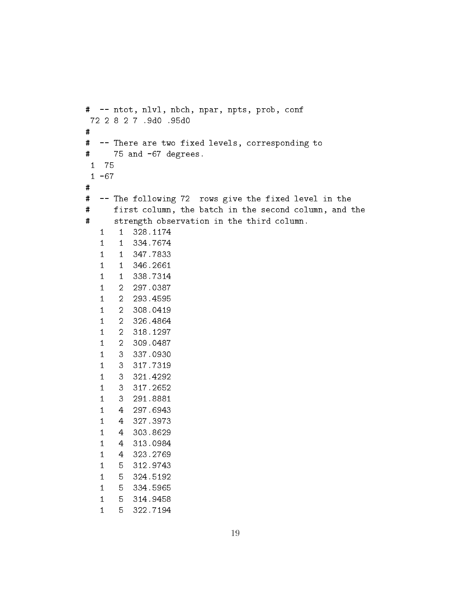```
# -- ntot, nlvl, nbch, npar, npts, prob, conf
72 2 8 2 7 .9d0 .95d0
\sharp# -- There are two fixed levels, corresponding to
# 75 and -67 degrees.
 1 75
 1 - 67## -- The following 72 rows give the fixed level in the
#first column, the batch in the second column, and the
\sharpstrength observation in the third column.
   1 1 328.1174
   1 1 334.7674
   11 1 347.7833
   \mathbf{1}1 1 346.2661
   1 1 338.7314
   1 2 297.0387
   1 2 293.4595
   1 2 308.0419
   1 2 326.4864
   1 2 318.1297
   1 2 309.0487
   11 3 337.0930
   1 3 317.7319
   1 3 321.4292
   1 3 317.2652
   1 3 291.8881
   1 4 297.6943
   \mathbf{1}1 4 327.3973
   1 4 303.8629
   \mathbf{1}1 4 313.0984
   1 4 323.2769
   1 5 312.9743
   1 5 324.5192
   1 5 334.5965
   1 5 314.9458
   15 322.7194
```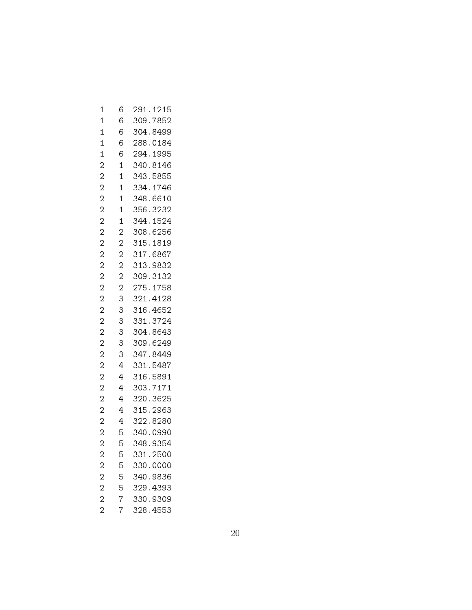| 1              | 6              | 291<br>.1215                        |
|----------------|----------------|-------------------------------------|
| 1              | 6              | 309.7852                            |
| $\mathbf 1$    | 6              | 304.8499                            |
| $\mathbf 1$    | 6              | 288.0184                            |
| $\mathbf 1$    | 6              | 294<br>1995<br>$\ddot{\phantom{a}}$ |
| $\overline{c}$ | $\mathbf 1$    | 340<br>8146<br>$\ddot{\phantom{0}}$ |
| $\overline{c}$ | 1              | 343.5855                            |
| $\overline{c}$ | $\mathbf 1$    | 334<br>1746<br>$\ddot{\phantom{0}}$ |
| $\overline{c}$ | $\mathbf 1$    | 348.6610                            |
| $\overline{c}$ | 1              | 356<br>3232                         |
| $\overline{c}$ | $\mathbf 1$    | 344<br>.1524                        |
| $\overline{c}$ | 2              | 308.6256                            |
| $\overline{c}$ | $\overline{c}$ | 315<br>.1819                        |
| $\overline{c}$ | $\overline{c}$ | 317.6867                            |
| $\overline{c}$ | $\overline{c}$ | 313<br>9832                         |
| $\overline{c}$ | $\overline{c}$ | 309.3132                            |
| $\overline{c}$ | $\overline{c}$ | 275.1758                            |
| $\overline{a}$ | 3              | 321<br>.4128                        |
| $\overline{c}$ | 3              | 316.4652                            |
| $\overline{c}$ | 3              | .3724<br>331                        |
| $\overline{c}$ | 3              | 304.8643                            |
| $\overline{c}$ | 3              | 309.6249                            |
| $\overline{c}$ | 3              | 347<br>8449<br>$\ddot{\phantom{0}}$ |
| $\overline{c}$ | 4              | 331<br>.5487                        |
| $\overline{c}$ | 4              | 316<br>5891<br>$\ddot{\phantom{0}}$ |
| $\overline{c}$ | 4              | 303<br>7171                         |
| $\overline{c}$ | 4              | 320<br>3625                         |
| $\overline{c}$ | 4              | 315<br>.2963                        |
| $\overline{c}$ | 4              | 322.<br>8280                        |
| $\overline{c}$ | 5              | .0990<br>340                        |
| $\overline{c}$ | 5              | 348.9354                            |
| $\overline{c}$ | 5              | 331.2500                            |
| $\overline{c}$ | 5              | 330.0000                            |
| $\overline{c}$ | 5              | 340.9836                            |
| $\overline{c}$ | $\frac{5}{7}$  | 329.4393                            |
| $\overline{2}$ |                | 330.9309                            |
| $\overline{c}$ | 7              | 328.4553                            |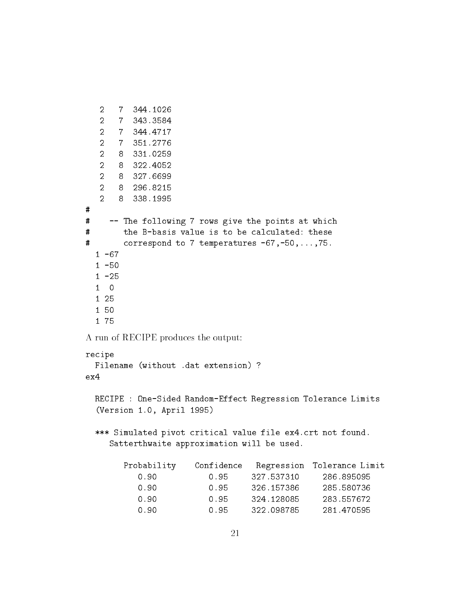```
2 7 344.1026
  \overline{2}2 7 343.3584
  2 7 344.4717
  \overline{2}2 7 351.2776
  2 8 331.0259
  2 8 322.4052
  2 8 327.6699
  2 8 296.8215
  2 8 338.1995
\pmb{\sharp}# -- The following 7 rows give the points at which
#the B-basis value is to be calculated: these
# correspond to 7 temperatures -67,-50,...,75.
  1 - 671 -50
  1 - 251 0
  1 50
  1 75
A run of RECIPE produces the output:
recipe
 Filename (without .dat extension) ?
 RECIPE : One-Sided Random-Effect Regression Tolerance Limits
  (Version 1.0, April 1995)
  *** Simulated pivot critical value file ex4.crt not found.
    Satterthwaite approximation will be used.
       Probability Confidence Regression Tolerance Limit
          0.90 0.95 327.537310 286.895095
          0.90 0.95 324.128085 283.557672
                         0.95322.098785
                                                281.470595
```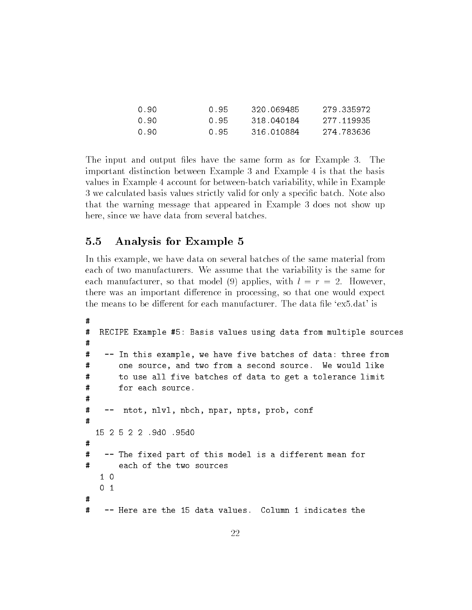| .N. 90. | 0.95 | 320.069485 | 279.335972 |
|---------|------|------------|------------|
| .N. 90. | 0.95 | 318 040184 | 277 119935 |
| .N. 90. | 0.95 | 316 010884 | 274.783636 |

The input and output files have the same form as for Example 3. The important distinction between Example 3 and Example 4 is that the basis values in Example 4 account for between-batch variability, while in Example 3 we calculated basis values strictly valid for only a specic batch. Note also that the warning message that appeared in Example 3 does not show up here, since we have data from several batches.

#### 5.5 5.5 Analysis for Example 5

In this example, we have data on several batches of the same material from each of two manufacturers. We assume that the variability is the same for each manufacturer, so that model (9) applies, with  $l = r = 2$ . However, there was an important difference in processing, so that one would expect the means to be different for each manufacturer. The data file 'ex5.dat' is

```
## RECIPE Example #5: Basis values using data from multiple sources
\sharp-- In this example, we have five batches of data: three from
\## one source, and two from a second source. We would like
# to use all five batches of data to get a tolerance limit
#
       for each source.
\sharp# -- ntot, nlvl, nbch, npar, npts, prob, conf
\sharp15 2 5 2 2 .9d0 .95d0
\mathbf{H}# -- The fixed part of this model is a different mean for
\sharp1<sub>0</sub>0 1
\boldsymbol{t}\sharp-- Here are the 15 data values. Column 1 indicates the
```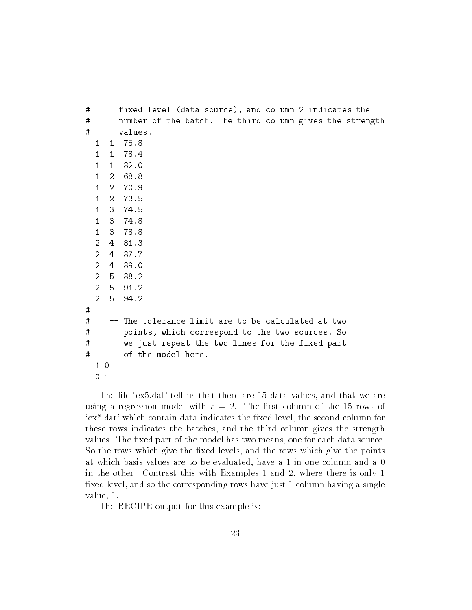| #    |                |              | fixed level (data source), and column 2 indicates the    |
|------|----------------|--------------|----------------------------------------------------------|
| #    |                |              | number of the batch. The third column gives the strength |
| #    |                |              | values.                                                  |
|      | $\mathbf{1}$   | $\mathbf{1}$ | 75.8                                                     |
|      | $\mathbf{1}$   | 1            | 78.4                                                     |
|      | $\mathbf{1}$   | 1            | 82.0                                                     |
|      | $\mathbf{1}$   |              | 2 68.8                                                   |
|      | $\mathbf{1}$   | $2^{\circ}$  | 70.9                                                     |
|      | $\mathbf{1}$   |              | 2 73.5                                                   |
|      | $\mathbf{1}$   |              | 3, 74.5                                                  |
|      | $\mathbf{1}$   |              | 3 74.8                                                   |
|      | $\mathbf{1}$   |              | 3 78.8                                                   |
|      | $\overline{2}$ | 4            | 81.3                                                     |
|      | $\overline{2}$ |              | 4 87.7                                                   |
|      | $\overline{2}$ |              | 4 89.0                                                   |
|      | $\overline{2}$ |              | 5 88.2                                                   |
|      | $\mathcal{L}$  |              | 591.2                                                    |
|      | $\mathcal{L}$  | 5            | 94.2                                                     |
| #    |                |              |                                                          |
| #    |                |              | The tolerance limit are to be calculated at two          |
| #    |                |              | points, which correspond to the two sources. So          |
| #    |                |              | we just repeat the two lines for the fixed part          |
| $\#$ |                |              | of the model here.                                       |
|      | 10             |              |                                                          |
|      | 0              | 1            |                                                          |

The file 'ex5.dat' tell us that there are 15 data values, and that we are using a regression model with  $r = 2$ . The first column of the 15 rows of 'ex5.dat' which contain data indicates the fixed level, the second column for these rows indicates the batches, and the third column gives the strength values. The fixed part of the model has two means, one for each data source. So the rows which give the fixed levels, and the rows which give the points at which basis values are to be evaluated, have a 1 in one column and a 0 in the other. Contrast this with Examples 1 and 2, where there is only 1 fixed level, and so the corresponding rows have just 1 column having a single value, 1.

The RECIPE output for this example is: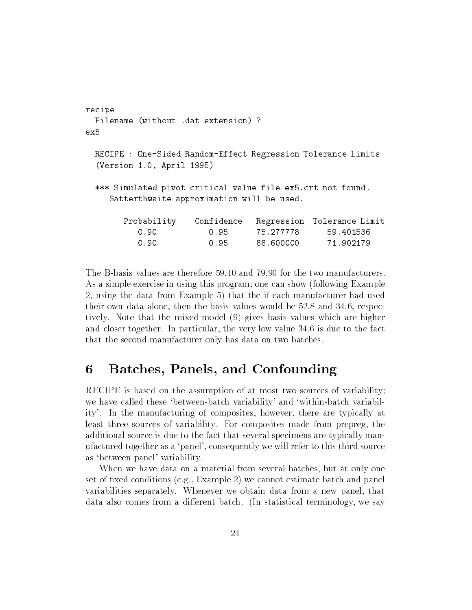```
recipe
 Filename (without .dat extension) ?
ex5
 RECIPE : One-Sided Random-Effect Regression Tolerance Limits
  (Version 1.0, April 1995)
  *** Simulated pivot critical value file ex5.crt not found.
    Satterthwaite approximation will be used.
       Probability Confidence Regression Tolerance Limit
                        0.950.90 0.95 88.600000 71.902179
```
The B-basis values are therefore 59.40 and 79.90 for the two manufacturers. As a simple exercise in using this program, one can show (following Example 2, using the data from Example 5) that the if each manufacturer had used their own data alone, then the basis values would be 52.8 and 34.6, respectively. Note that the mixed model (9) gives basis values which are higher and closer together. In particular, the very low value 34.6 is due to the fact that the second manufacturer only has data on two batches.

#### 6 Batches, Panels, and Confounding 6

RECIPE is based on the assumption of at most two sources of variability; we have called these 'between-batch variability' and 'within-batch variability'. In the manufacturing of composites, however, there are typically at least three sources of variability. For composites made from prepreg, the additional source is due to the fact that several specimens are typically manufactured together as a `panel', consequently we will refer to this third source as `between-panel' variability.

When we have data on a material from several batches, but at only one set of fixed conditions (e.g., Example 2) we cannot estimate batch and panel variabilities separately. Whenever we obtain data from a new panel, that data also comes from a different batch. (In statistical terminology, we say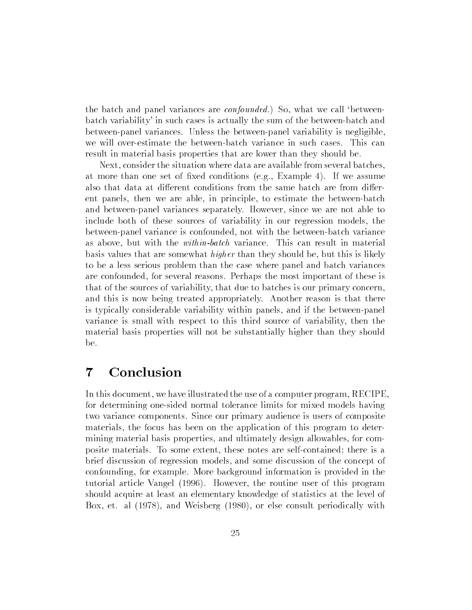the batch and panel variances are *confounded*.) So, what we call 'betweenbatch variability' in such cases is actually the sum of the between-batch and between-panel variances. Unless the between-panel variability is negligible, we will over-estimate the between-batch variance in such cases. This can result in material basis properties that are lower than they should be.

Next, consider the situation where data are available from several batches, at more than one set of fixed conditions (e.g., Example 4). If we assume also that data at different conditions from the same batch are from different panels, then we are able, in principle, to estimate the between-batch and between-panel variances separately. However, since we are not able to include both of these sources of variability in our regression models, the between-panel variance is confounded, not with the between-batch variance as above, but with the within-batch variance. This can result in material basis values that are somewhat higher than they should be, but this is likely to be a less serious problem than the case where panel and batch variances are confounded, for several reasons. Perhaps the most important of these is that of the sources of variability, that due to batches is our primary concern, and this is now being treated appropriately. Another reason is that there is typically considerable variability within panels, and if the between-panel variance is small with respect to this third source of variability, then the material basis properties will not be substantially higher than they should be.

#### Conclusion 7

In this document, we have illustrated the use of a computer program, RECIPE, for determining one-sided normal tolerance limits for mixed models having two variance components. Since our primary audience is users of composite materials, the focus has been on the application of this program to determining material basis properties, and ultimately design allowables, for composite materials. To some extent, these notes are self-contained; there is a brief discussion of regression models, and some discussion of the concept of confounding, for example. More background information is provided in the tutorial article Vangel (1996). However, the routine user of this program should acquire at least an elementary knowledge of statistics at the level of Box, et. al (1978), and Weisberg (1980), or else consult periodically with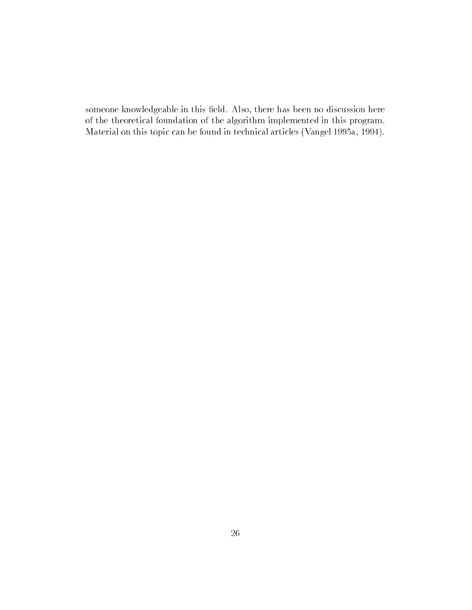someone knowledgeable in this field. Also, there has been no discussion here of the theoretical foundation of the algorithm implemented in this program. Material on this topic can be found in technical articles (Vangel 1995a, 1994).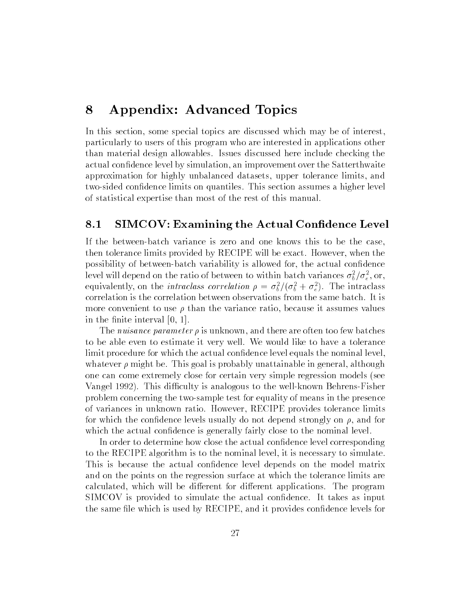## 8 Appendix: Advanced Topics

In this section, some special topics are discussed which may be of interest, particularly to users of this program who are interested in applications other than material design allowables. Issues discussed here include checking the actual condence level by simulation, an improvement over the Satterthwaite approximation for highly unbalanced datasets, upper tolerance limits, and two-sided condence limits on quantiles. This section assumes a higher level of statistical expertise than most of the rest of this manual.

### 8.1 SIMCOV: Examining the Actual Confidence Level

If the between-batch variance is zero and one knows this to be the case, then tolerance limits provided by RECIPE will be exact. However, when the possibility of between-batch variability is allowed for, the actual condence level will depend on the ratio of between to within batch variances  $\sigma_{\bar{b}}^+/\sigma_{\bar{e}}^-,$  or, equivalently, on the *intraclass correlation*  $\rho = \sigma_{\bar{b}}/(\sigma_{\bar{b}} + \sigma_{\bar{e}})$ . The intraclass correlation is the correlation between observations from the same batch. It is more convenient to use  $\rho$  than the variance ratio, because it assumes values in the finite interval  $[0, 1]$ .

The nuisance parameter  $\rho$  is unknown, and there are often too few batches to be able even to estimate it very well. We would like to have a tolerance limit procedure for which the actual confidence level equals the nominal level, whatever  $\rho$  might be. This goal is probably unattainable in general, although one can come extremely close for certain very simple regression models (see Vangel 1992). This difficulty is analogous to the well-known Behrens-Fisher problem concerning the two-sample test for equality of means in the presence of variances in unknown ratio. However, RECIPE provides tolerance limits for which the confidence levels usually do not depend strongly on  $\rho$ , and for which the actual confidence is generally fairly close to the nominal level.

In order to determine how close the actual confidence level corresponding to the RECIPE algorithm is to the nominal level, it is necessary to simulate. This is because the actual confidence level depends on the model matrix and on the points on the regression surface at which the tolerance limits are calculated, which will be different for different applications. The program SIMCOV is provided to simulate the actual confidence. It takes as input the same file which is used by RECIPE, and it provides confidence levels for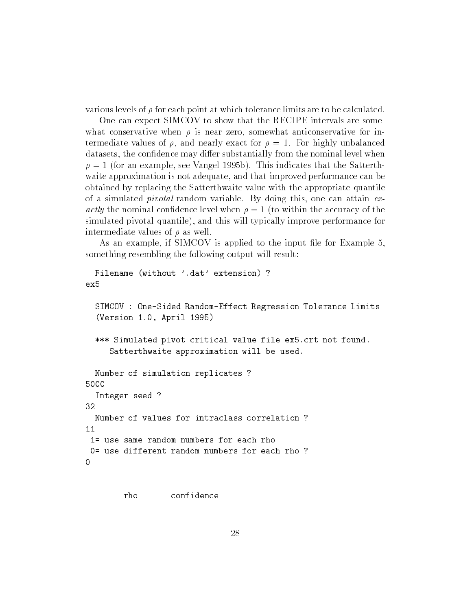various levels of  $\rho$  for each point at which tolerance limits are to be calculated.

One can expect SIMCOV to show that the RECIPE intervals are somewhat conservative when  $\rho$  is near zero, somewhat anticonservative for intermediate values of  $\rho$ , and nearly exact for  $\rho = 1$ . For highly unbalanced datasets, the confidence may differ substantially from the nominal level when  $\rho = 1$  (for an example, see Vangel 1995b). This indicates that the Satterthwaite approximation is not adequate, and that improved performance can be obtained by replacing the Satterthwaite value with the appropriate quantile of a simulated *pivotal* random variable. By doing this, one can attain  $ex$ actly the nominal confidence level when  $\rho = 1$  (to within the accuracy of the simulated pivotal quantile), and this will typically improve performance for intermediate values of  $\rho$  as well.

As an example, if SIMCOV is applied to the input file for Example 5, something resembling the following output will result:

```
Filename (without '.dat' extension) ?
ex5
  SIMCOV : One-Sided Random-Effect Regression Tolerance Limits
  (Version 1.0, April 1995)
  *** Simulated pivot critical value file ex5.crt not found.
     Satterthwaite approximation will be used.
  Number of simulation replicates ?
5000
  Integer seed ?
  Number of values for intraclass correlation?
111= use same random numbers for each rho
 0= use different random numbers for each rho ?
\Omega
```
rho confidence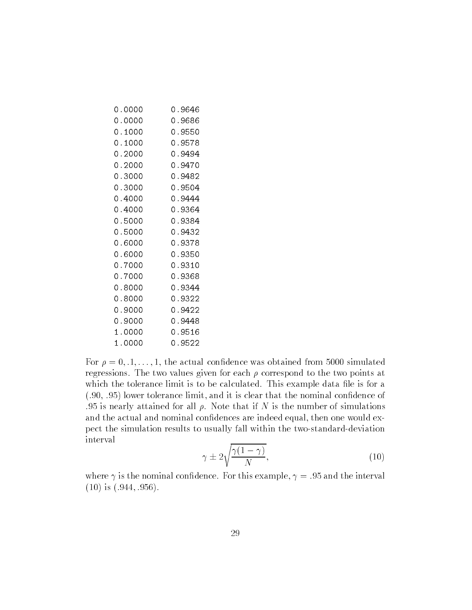| 0.0000 | 0.9646 |
|--------|--------|
| 0.0000 | 0.9686 |
| 0.1000 | 0.9550 |
| 0.1000 | 0.9578 |
| 0.2000 | 0.9494 |
| 0.2000 | 0.9470 |
| 0.3000 | 0.9482 |
| 0.3000 | 0.9504 |
| 0.4000 | 0.9444 |
| 0.4000 | 0.9364 |
| 0.5000 | 0.9384 |
| 0.5000 | 0.9432 |
| 0.6000 | 0.9378 |
| 0.6000 | 0.9350 |
| 0.7000 | 0.9310 |
| 0.7000 | 0.9368 |
| 0.8000 | 0.9344 |
| 0.8000 | 0.9322 |
| 0.9000 | 0.9422 |
| 0.9000 | 0.9448 |
| 1.0000 | 0.9516 |
| 1.0000 | 0.9522 |
|        |        |

For  $\rho = 0, 1, \ldots, 1$ , the actual confidence was obtained from 5000 simulated regressions. The two values given for each  $\rho$  correspond to the two points at which the tolerance limit is to be calculated. This example data file is for a  $(.90, .95)$  lower tolerance limit, and it is clear that the nominal confidence of .95 is nearly attained for all  $\rho$ . Note that if N is the number of simulations and the actual and nominal confidences are indeed equal, then one would expect the simulation results to usually fall within the two-standard-deviation interval

$$
\gamma \pm 2\sqrt{\frac{\gamma(1-\gamma)}{N}},\tag{10}
$$

where  $\gamma$  is the nominal confidence. For this example,  $\gamma = .95$  and the interval  $(10)$  is  $(.944, .956)$ .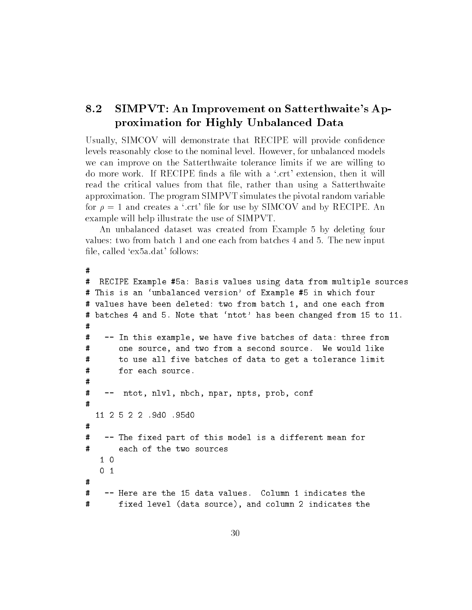### 8.2 SIMPVT: An Improvement on Satterthwaite's Approximation for Highly Unbalanced Data

Usually, SIMCOV will demonstrate that RECIPE will provide condence levels reasonably close to the nominal level. However, for unbalanced models we can improve on the Satterthwaite tolerance limits if we are willing to do more work. If RECIPE finds a file with a '.crt' extension, then it will read the critical values from that file, rather than using a Satterthwaite approximation. The program SIMPVT simulates the pivotal random variable for  $\rho = 1$  and creates a '.crt' file for use by SIMCOV and by RECIPE. An example will help illustrate the use of SIMPVT.

An unbalanced dataset was created from Example 5 by deleting four values: two from batch 1 and one each from batches 4 and 5. The new input file, called 'ex5a.dat' follows:

```
\pmb{\pi}
```

```
# RECIPE Example #5a: Basis values using data from multiple sources
# This is an 'unbalanced version' of Example #5 in which four
# values have been deleted: two from batch 1, and one each from
# batches 4 and 5. Note that `ntot' has been changed from 15 to 11.
## -- In this example, we have five batches of data: three from
\sharpone source, and two from a second source. We would like
#
       to use all five batches of data to get a tolerance limit
#
       for each source.
# -- ntot, nlvl, nbch, npar, npts, prob, conf
\mathbf{H}11 2 5 2 2 .9d0 .95d0
\sharp\sharp-- The fixed part of this model is a different mean for
\sharpeach of the two sources
   1 0
\sharp# -- Here are the 15 data values. Column 1 indicates the
# fixed level (data source), and column 2 indicates the
```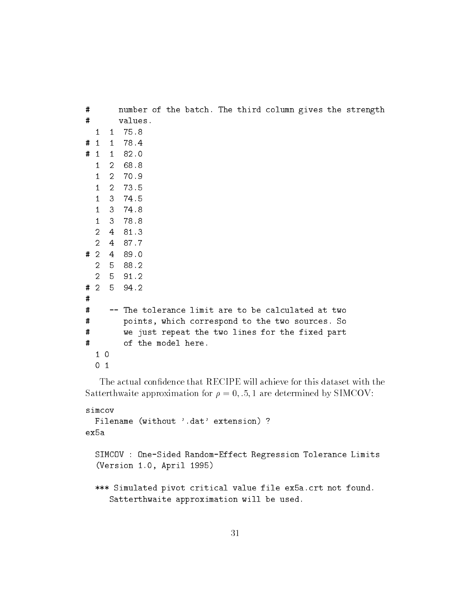| # |                |                | number of the batch. The third column gives the strength |
|---|----------------|----------------|----------------------------------------------------------|
| # |                |                | values.                                                  |
|   | $\mathbf{1}$   | $1 \quad$      | 75.8                                                     |
| # |                |                | 1 1 78.4                                                 |
| # |                |                | $1 \quad 1 \quad 82.0$                                   |
|   | 1              |                | 2 68.8                                                   |
|   | $\mathbf{1}$   |                | 2 70.9                                                   |
|   | $\mathbf{1}$   |                | 2 73.5                                                   |
|   | $\mathbf{1}$   |                | 3 74.5                                                   |
|   | $1 -$          |                | 3, 74.8                                                  |
|   | 1              |                | 3 78.8                                                   |
|   | $\mathcal{L}$  |                | 4 81.3                                                   |
|   | $\mathcal{L}$  |                | 4 87.7                                                   |
| # | 2              |                | 4 89.0                                                   |
|   | $\overline{2}$ |                | 5 88.2                                                   |
|   | $\overline{2}$ |                | 5 91.2                                                   |
|   | #2             | 5 <sup>1</sup> | 94.2                                                     |
| # |                |                |                                                          |
| # |                |                | The tolerance limit are to be calculated at two          |
| # |                |                | points, which correspond to the two sources. So          |
| # |                |                | we just repeat the two lines for the fixed part          |
| # |                |                | of the model here.                                       |
|   | $1\quad$       |                |                                                          |
|   | 0              | 1              |                                                          |

The actual confidence that RECIPE will achieve for this dataset with the Satterthwaite approximation for  $\rho = 0, .5, 1$  are determined by SIMCOV:

```
simcov
 Filename (without '.dat' extension) ?
ex5a
```

```
SIMCOV : One-Sided Random-Effect Regression Tolerance Limits
(Version 1.0, April 1995)
```

```
*** Simulated pivot critical value file ex5a.crt not found.
  Satterthwaite approximation will be used.
```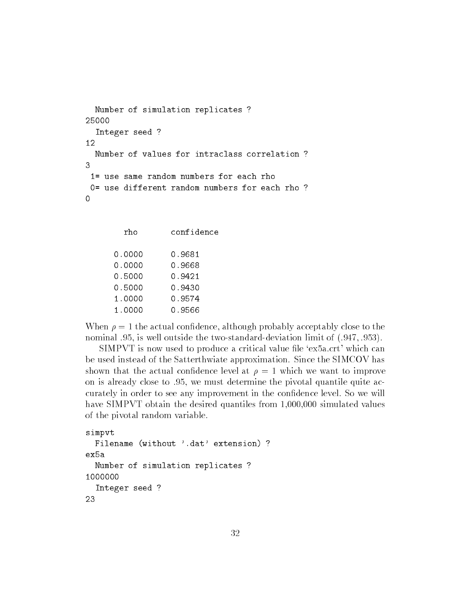```
Number of simulation replicates ?
25000
  Integer seed ?
12
  Number of values for intraclass correlation ?
3
 1= use same random numbers for each rho
 0= use different random numbers for each rho ?
```

| rho    | confidence |
|--------|------------|
| 0.0000 | 0.9681     |
| 0.0000 | 0.9668     |
| 0.5000 | 0.9421     |
| 0.5000 | 0.9430     |
| 1.0000 | 0.9574     |
| 1.0000 | 0.9566     |

When  $\rho = 1$  the actual confidence, although probably acceptably close to the nominal .95, is well outside the two-standard-deviation limit of  $(.947, .953)$ .

 $SIMPVT$  is now used to produce a critical value file 'ex5a.crt' which can be used instead of the Satterthwiate approximation. Since the SIMCOV has shown that the actual confidence level at  $\rho = 1$  which we want to improve on is already close to .95, we must determine the pivotal quantile quite accurately in order to see any improvement in the confidence level. So we will have SIMPVT obtain the desired quantiles from 1,000,000 simulated values of the pivotal random variable.

```
simpvt
  Filename (without '.dat' extension) ?
ex5a
  Number of simulation replicates ?
1000000
  Integer seed ?
23
```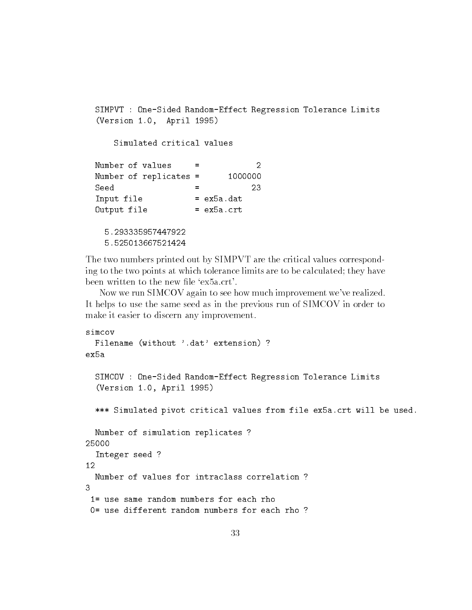```
SIMPVT : One-Sided Random-Effect Regression Tolerance Limits
(Version 1.0, April 1995)
    Simulated critical values
                                   \mathcal{L}=Number of replicates =1000000
                     \equivInput file = ex5a.dat
Output file
                     = ex5a.crt
  5.293335957447922
  5.525013667521424
```
The two numbers printed out by SIMPVT are the critical values corresponding to the two points at which tolerance limits are to be calculated; they have been written to the new file 'ex5a.crt'.

Now we run SIMCOV again to see how much improvement we've realized. It helps to use the same seed as in the previous run of SIMCOV in order to make it easier to discern any improvement.

```
simcov
 Filename (without '.dat' extension) ?
ex5aSIMCOV : One-Sided Random-Effect Regression Tolerance Limits
  (Version 1.0, April 1995)
  *** Simulated pivot critical values from file ex5a.crt will be used.
 Number of simulation replicates ?
25000
  Integer seed ?
 Number of values for intraclass correlation?
3
 1= use same random numbers for each rho
 0= use different random numbers for each rho?
```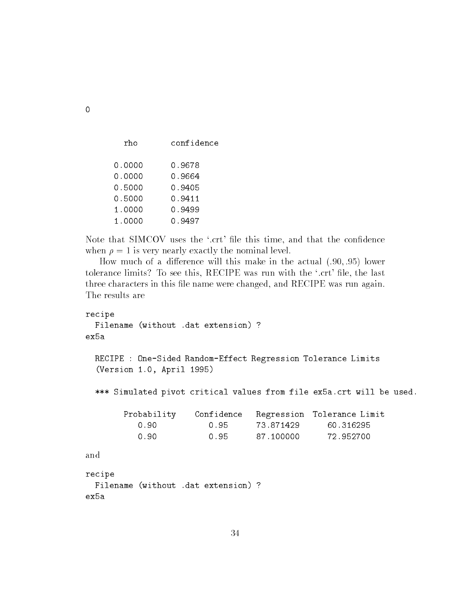| rho    | confidenc |
|--------|-----------|
| 0.0000 | 0.9678    |
| 0.0000 | 0.9664    |
| 0.5000 | 0.9405    |
| 0.5000 | 0.9411    |
| 1.0000 | 0.9499    |
| 1.0000 | 0.9497    |

Note that SIMCOV uses the '.crt' file this time, and that the confidence when  $\rho = 1$  is very nearly exactly the nominal level.

How much of a difference will this make in the actual  $(.90, .95)$  lower tolerance limits? To see this, RECIPE was run with the '.crt' file, the last three characters in this file name were changed, and RECIPE was run again. The results are

```
recipe
 Filename (without .dat extension) ?
ex5a
 RECIPE : One-Sided Random-Effect Regression Tolerance Limits
  (Version 1.0, April 1995)
 *** Simulated pivot critical values from file ex5a.crt will be used.
       Probability Confidence Regression Tolerance Limit
          0.90 0.95 73.871429 60.316295
                                73.871429
          0.90 0.95 87.100000 72.952700
recipe
 Filename (without .dat extension) ?
ex5a
```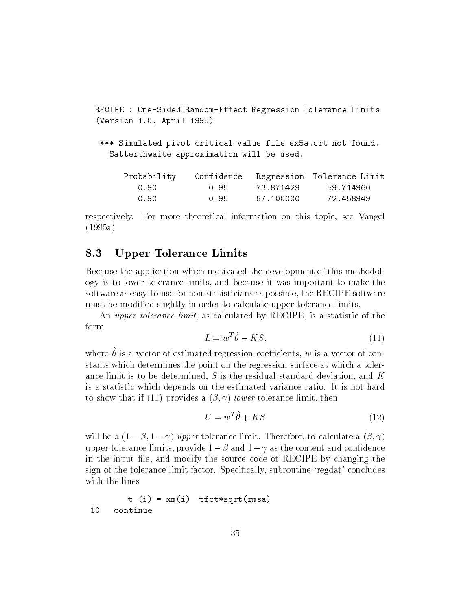RECIPE : One-Sided Random-Effect Regression Tolerance Limits (Version 1.0, April 1995) \*\*\* Simulated pivot critical value file ex5a.crt not found. Satterthwaite approximation will be used. Probability Confidence Regression Tolerance Limit 0.90 0.95 87.100000 72.458949

respectively. For more theoretical information on this topic, see Vangel (1995a).

### 8.3 Upper Tolerance Limits

Because the application which motivated the development of this methodology is to lower tolerance limits, and because it was important to make the software as easy-to-use for non-statisticians as possible, the RECIPE software must be modified slightly in order to calculate upper tolerance limits.

An upper tolerance limit, as calculated by RECIPE, is a statistic of the form

$$
L = w^T \hat{\theta} - KS,\tag{11}
$$

where  $\sigma$  is a vector of estimated regression coemercins, w is a vector of constants which determines the point on the regression surface at which a tolerance limit is to be determined, S is the residual standard deviation, and K is a statistic which depends on the estimated variance ratio. It is not hard to show that if (11) provides a  $(\beta, \gamma)$  lower tolerance limit, then

$$
U = w^T \hat{\theta} + KS \tag{12}
$$

will be a  $(1 - \beta, 1 - \gamma)$  upper tolerance limit. Therefore, to calculate a  $(\beta, \gamma)$ upper tolerance limits, provide  $1 - \beta$  and  $1 - \gamma$  as the content and confidence in the input file, and modify the source code of RECIPE by changing the sign of the tolerance limit factor. Specifically, subroutine 'regdat' concludes with the lines

```
t(i) = xm(i) -tfct*sqrt(rmsa)10
     continue
```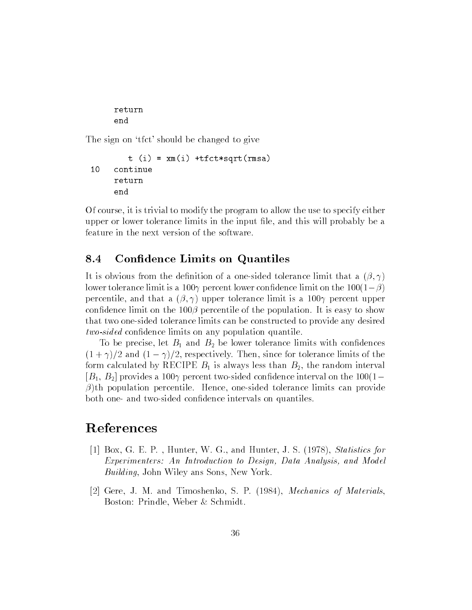return end

The sign on 'tfct' should be changed to give

```
t(i) = xm(i) + t fct*sqrt(rmsa)10 continue
     return
     end
```
Of course, it is trivial to modify the program to allow the use to specify either upper or lower tolerance limits in the input file, and this will probably be a feature in the next version of the software.

#### 8.4 Confidence Limits on Quantiles

It is obvious from the definition of a one-sided tolerance limit that a  $(\beta, \gamma)$ lower tolerance limit is a 100 $\gamma$  percent lower confidence limit on the 100(1- $\beta$ ) percentile, and that a  $(\beta, \gamma)$  upper tolerance limit is a 100 $\gamma$  percent upper confidence limit on the  $100\beta$  percentile of the population. It is easy to show that two one-sided tolerance limits can be constructed to provide any desired two-sided confidence limits on any population quantile.

To be precise, let  $B_1$  and  $B_2$  be lower tolerance limits with confidences  $(1 + \gamma)/2$  and  $(1 - \gamma)/2$ , respectively. Then, since for tolerance limits of the form calculated by RECIPE  $B_1$  is always less than  $B_2$ , the random interval  $[B_1, B_2]$  provides a 100 $\gamma$  percent two-sided confidence interval on the 100(1- $\beta$ )th population percentile. Hence, one-sided tolerance limits can provide both one- and two-sided confidence intervals on quantiles.

## References

- [1] Box, G. E. P. , Hunter, W. G., and Hunter, J. S. (1978), Statistics for Experimenters: An Introduction to Design, Data Analysis, and Model Building, John Wiley ans Sons, New York.
- [2] Gere, J. M. and Timoshenko, S. P. (1984), Mechanics of Materials, Boston: Prindle, Weber & Schmidt.